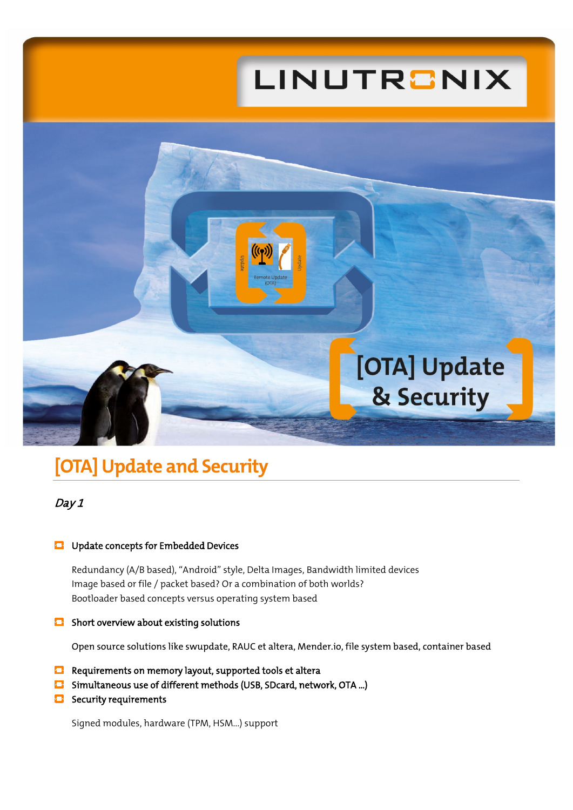# LINUTRONIX



## **[OTA] Update and Security**

### Day 1

#### **Update concepts for Embedded Devices**

Redundancy (A/B based), "Android" style, Delta Images, Bandwidth limited devices Image based or file / packet based? Or a combination of both worlds? Bootloader based concepts versus operating system based

#### $\bullet$  Short overview about existing solutions

Open source solutions like swupdate, RAUC et altera, Mender.io, file system based, container based

- $\Box$  Requirements on memory layout, supported tools et altera
- Simultaneous use of different methods (USB, SDcard, network, OTA ...)
- Security requirements

Signed modules, hardware (TPM, HSM...) support